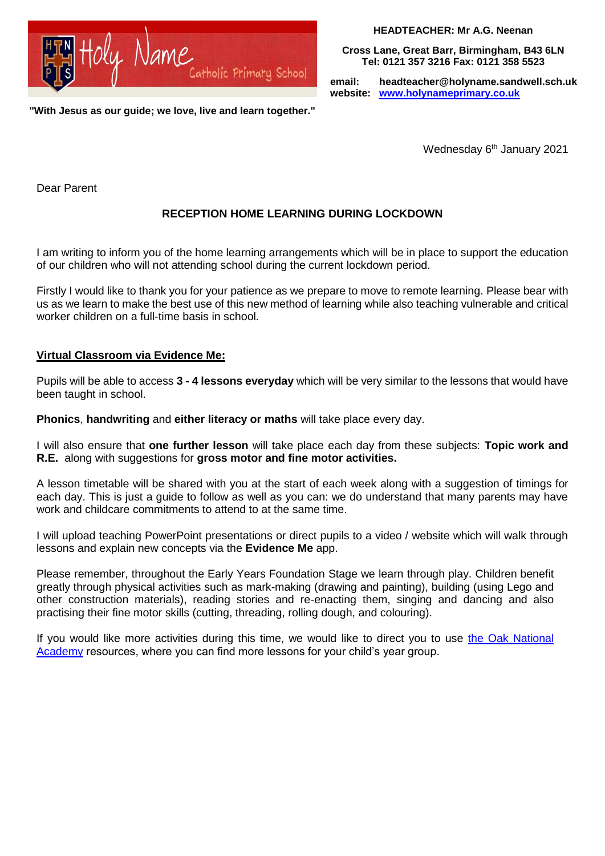

**HEADTEACHER: Mr A.G. Neenan**

**Cross Lane, Great Barr, Birmingham, B43 6LN Tel: 0121 357 3216 Fax: 0121 358 5523**

 **email: [headteacher@holyname.sandwell.sch.uk](mailto:headteacher@holyname.sandwell.sch.uk) website: [www.holynameprimary.co.uk](http://www.holynameprimary.co.uk/)**

**"With Jesus as our guide; we love, live and learn together."**

Wednesday 6<sup>th</sup> January 2021

Dear Parent

# **RECEPTION HOME LEARNING DURING LOCKDOWN**

I am writing to inform you of the home learning arrangements which will be in place to support the education of our children who will not attending school during the current lockdown period.

Firstly I would like to thank you for your patience as we prepare to move to remote learning. Please bear with us as we learn to make the best use of this new method of learning while also teaching vulnerable and critical worker children on a full-time basis in school.

## **Virtual Classroom via Evidence Me:**

Pupils will be able to access **3 - 4 lessons everyday** which will be very similar to the lessons that would have been taught in school.

**Phonics**, **handwriting** and **either literacy or maths** will take place every day.

I will also ensure that **one further lesson** will take place each day from these subjects: **Topic work and R.E.** along with suggestions for **gross motor and fine motor activities.** 

A lesson timetable will be shared with you at the start of each week along with a suggestion of timings for each day. This is just a guide to follow as well as you can: we do understand that many parents may have work and childcare commitments to attend to at the same time.

I will upload teaching PowerPoint presentations or direct pupils to a video / website which will walk through lessons and explain new concepts via the **Evidence Me** app.

Please remember, throughout the Early Years Foundation Stage we learn through play. Children benefit greatly through physical activities such as mark-making (drawing and painting), building (using Lego and other construction materials), reading stories and re-enacting them, singing and dancing and also practising their fine motor skills (cutting, threading, rolling dough, and colouring).

If you would like more activities during this time, we would like to direct you to use the Oak National [Academy](https://www.thenational.academy/) resources, where you can find more lessons for your child's year group.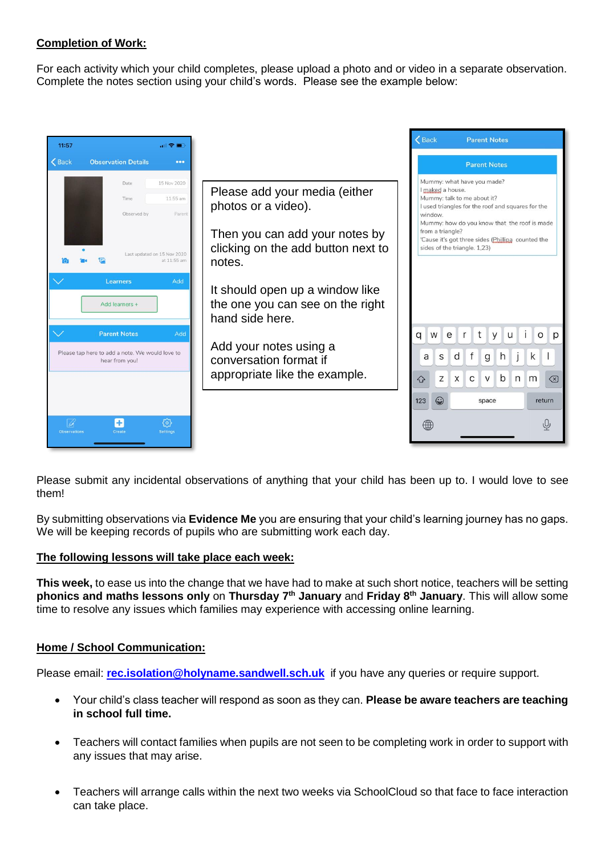## **Completion of Work:**

For each activity which your child completes, please upload a photo and or video in a separate observation. Complete the notes section using your child's words. Please see the example below:



Please submit any incidental observations of anything that your child has been up to. I would love to see them!

By submitting observations via **Evidence Me** you are ensuring that your child's learning journey has no gaps. We will be keeping records of pupils who are submitting work each day.

## **The following lessons will take place each week:**

**This week,** to ease us into the change that we have had to make at such short notice, teachers will be setting **phonics and maths lessons only** on **Thursday 7th January** and **Friday 8th January**. This will allow some time to resolve any issues which families may experience with accessing online learning.

## **Home / School Communication:**

Please email: **[rec.isolation@holyname.sandwell.sch.uk](mailto:rec.isolation@holyname.sandwell.sch.uk)** if you have any queries or require support.

- Your child's class teacher will respond as soon as they can. **Please be aware teachers are teaching in school full time.**
- Teachers will contact families when pupils are not seen to be completing work in order to support with any issues that may arise.
- Teachers will arrange calls within the next two weeks via SchoolCloud so that face to face interaction can take place.